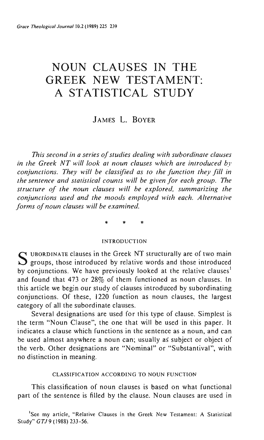# **NOUN CLAUSES IN THE GREEK NEW TESTAMENT: A STATISTICAL STUDY**

# JAMES L. BOYER

*This second in a series of studies dealing with subordinate clauses in the Greek NT will look at noun clauses which are introduced by conjunctions. They will be classified as to the function they fill in the sentence and statistical counts will be given for each group. The structure of the noun clauses will be explored, summarizing the conjunctions used and the moods employed with each. Alternative forms of noun clauses will be examined.* 

\* \* \*

## INTRODUCTION

S UBORDINATE clauses in the Greek NT structurally are of two main<br>S groups, those introduced by relative words and those introduced by conjunctions. We have previously looked at the relative clauses<sup>1</sup> and found that 473 or 28% of them functioned as noun clauses. **In**  this article we begin our study of clauses introduced by subordinating conjunctions. Of these, 1220 function as noun clauses, the largest category of **all** the subordinate clauses.

Several designations are used for this type of clause. Simplest is the term "Noun Clause", the one that will be used in this paper. It indicates a clause which functions in the sentence as a noun, and can be used almost anywhere a noun can; usually as' subject or object of the verb. Other designations are "Nominal" or "Substantival", with no distinction in meaning.

## CLASSIFICATION ACCORDING TO NOUN FUNCTION

This classification of noun clauses is based on what functional part of the sentence is filled by the clause. Noun clauses are used in

<sup>1</sup>Sce my article, "Relative Clauses in the Greek New Testament: A Statistical Study" GTJ 9 (1988) 233-56.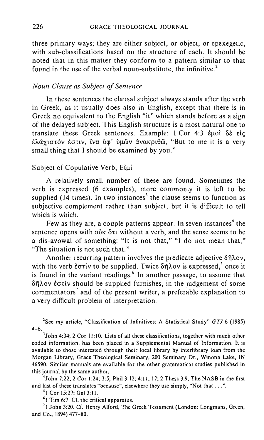three primary ways; they are either subject, or object, or epexegetic, with sub-classifications based on the structure of each. It should be noted that in this matter they conform to a pattern similar to that found in the use of the verbal noun-substitute, the infinitive.<sup>2</sup>

## *Noun Clause as Subject of Sentence*

**In** these sentences the clausal subject always stands after the verb in Greek, as it usually does also in English, except that there is in Greek no equivalent to the English "it" which stands before as a sign of the delayed subject. This English structure is a most natural one to translate these Greek sentences. Example:  $1 \text{ Cor } 4:3$   $\text{d}$ ito)  $\delta \hat{\epsilon}$   $\epsilon \hat{\epsilon}$ ελάγιστόν εστιν, ίνα ύφ' ύμῶν ἀνακριθῶ, "But to me it is a very small thing that I should be examined by you."

# Subject of Copulative Verb, Elui

A relatively small number of these are found. Sometimes the verb is expressed (6 examples), more commonly it is left to be supplied (14 times). **In** two instances' the clause seems to function as subjective complement rather than subject, but it is difficult to tell which is which.

Few as they are, a couple patterns appear. In seven instances<sup>4</sup> the sentence opens with  $\phi$   $\alpha$   $\beta$   $\gamma$  without a verb, and the sense seems to be a dis-avowal of something: "It is not that," **"I** do not mean that," "The situation is not such that."

Another recurring pattern involves the predicate adjective δήλον. with the verb  $\epsilon$ <sup>o</sup> to be supplied. Twice  $\delta \hat{n}$  $\lambda$ ov is expressed,<sup>5</sup> once it is found in the variant readings. <sup>6</sup>**In** another passage, to assume that  $\delta \tilde{\eta}$ λον έστίν should be supplied furnishes, in the judgement of some commentators' and of the present writer, a preferable explanation to a very difficult problem of interpretation.

<sup>2</sup>See my article, "Classification of Infinitives: A Statistical Study"  $GTJ$  6 (1985) 4-6.

'John 4:34; 2 Cor 11:10. Lists of all these classifications, together with much other **coded information, has been placed in a Supplemental Manual of Information. It is**  available to those interested through their local library by interlibrary loan from the Morgan Library, Grace Theological Seminary, 200 Seminary Dr., Winona Lake, IN 46590. Similar manuals are available for the other grammatical studies published in this journal by the same author.

'John 7:22; 2 Cor 1:24; 3:5; Phil 3:12; 4:11,17; 2 Thess 3.9. The NASB in the first and last of these translates "because", elsewhere they use simply, "Not that ... ".

'I Cor 15:27; GaI3:1!.

<sup>6</sup>1 Tim 6:7. Cf. the critical apparatus.

<sup>7</sup>1 John 3:20. Cf. Henry Alford, The Greek Testament (London: Longmans, Green, and Co., 1894) 477-80.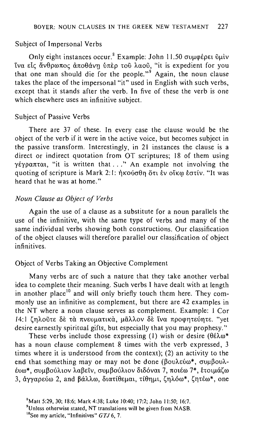#### SUbject of Impersonal Verbs

Only eight instances occur.<sup>8</sup> Example: John 11.50 συμφέρει δμίν ίνα είς άνθρωπος άποθάνη ύπερ του λαού, "it is expedient for you that one man should die for the people."<sup> $9$ </sup> Again, the noun clause takes the place of the impersonal "it" used in English with such verbs, except that it stands after the verb. In five of these the verb is one which elsewhere uses an infinitive subject.

#### Subject of Passive Verbs

There are 37 of these. In every case the clause would be the object of the verb if it were in the active voice, but becomes subject in the passive transform. Interestingly, in 21 instances the clause is a direct or indirect quotation from OT scriptures; 18 of them using  $\gamma$ έγραπται, "it is written that ..." An example not involving the quoting of scripture is Mark 2: Ι: ήκούσθη ὅτι ἐν οἴκω ἐστίν. "It was heard that he was at home."

# *Noun Clause as Object of Verbs*

Again the use of a clause as a substitute for a noun parallels the use of the infinitive, with the same type of verbs and many of the same individual verbs showing both constructions. Our classification of the object clauses will therefore parallel our classification of object infinitives.

## Object of Verbs Taking an Objective Complement

Many verbs are of such a nature that they take another verbal idea to complete their meaning. Such verbs 1 have dealt with at length in another place<sup>10</sup> and will only briefly touch them here. They commonly use an infinitive as complement, but there are 42 examples in the NT where a noun clause serves as complement. Example: 1 Cor 14:1 ζηλούτε δε τα πνευματικα, μάλλον δε ίνα προφητεύητε. "yet desire earnestly spiritual gifts, but especially that you may prophesy."

These verbs include those expressing (1) wish or desire  $(\theta \&\lambda \omega^*)$ has a noun clause complement 8 times with the verb expressed, 3 times where it is understood from the context); (2) an activity to the end that something may or may not be done ( $\beta$ ou $\lambda$ εύω\*, συμβου $\lambda$ ευω\*, συμβούλιον λαβεΐν, συμβούλιον διδόναι 7, ποιέω 7\*, ετοιμάζω  $3$ , άγγαρεύω 2, and βάλλω, διατίθεμαι, τίθημι, ζηλόω\*, ζητέω\*, one

<sup>&#</sup>x27;Matt 5:29, 30; 18:6; Mark 4:38; Luke 10:40; 17:2; John 11:50; 16:7.

<sup>&</sup>lt;sup>9</sup>Unless otherwise stated, NT translations will be given from NASB.

 $^{10}$ See my article, "Infinitives" GTJ 6, 7.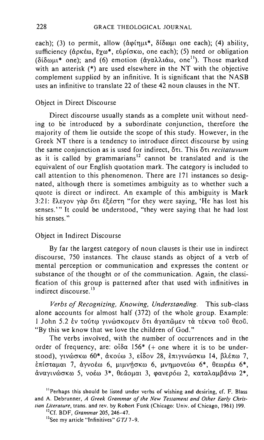each); (3) to permit, allow ( $\alpha\varphi(\eta\mu\mu^*, \delta(\delta\omega\mu\mu)$  one each); (4) ability, sufficiency ( $\phi$ ρκέω, Έχω\*, ευρίσκω, one each); (5) need or obligation  $(\delta \delta \omega \mu^* \text{ one})$ ; and (6) emotion  $(\delta \gamma \alpha \lambda \lambda \mu \omega)$ , one<sup>11</sup>). Those marked with an asterisk (\*) are used elsewhere in the NT with the objective complement supplied by an infinitive. It is significant that the NASB uses an infinitive to translate 22 of these 42 noun clauses in the NT.

# Object in Direct Discourse

Direct discourse usually stands as a complete unit without needing to he introduced by a subordinate conjunction, therefore the majority of them lie outside the scope of this study. However, in the Greek NT there is a tendency to introduce direct discourse by using the same conjunction as is used for indirect,  $\delta \tau$ . This  $\delta \tau$  *recitatuvum* as it is called by grammarians<sup>12</sup> cannot be translated and is the equivalent of our English quotation mark. The category is included to call attention to this phenomenon. There are 171 instances so designated, although there is sometimes ambiguity as to whether such a quote is direct or indirect. An example of this ambiguity is Mark 3:21: Eλεγον γάρ ότι εξέστη "for they were saying, 'He has lost his senses." It could be understood, "they were saying that he had lost his senses."

#### Object in Indirect Discourse

By far the largest category of noun clauses is their use in indirect discourse, 750 instances. The clause stands as object of a verb of mental perception or communication and expresses the content or substance of the thought or of the communication. Again, the classification of this group is patterned after that used with infinitives in indirect discourse.<sup>13</sup>

*Verbs of Recognizing, Knowing, Understanding.* This sub-class alone accounts for almost half (372) of the whole group. Example: I John 5.2 έν τούτω γινώσκομεν őτι άγαπῶμεν τὰ τέκνα τοῦ θεοῦ. "By this we know that we love the children of God."

The verbs involved, with the number of occurrences and in the order of frequency, are:  $\delta \delta \alpha$  156<sup>\*</sup> (+ one where it is to be understood), γινώσκω 60\*, άκούω 3, είδον 28, επιγινώσκω 14, βλέπω 7,  $\epsilon$ πίσταμαι 7, άγνοέω 6, μιμνήσκω 6, μνημονεύω 6\*, θεωρέω 6\*, άναγινώσκω 5, νοέω 3\*, θεάομαι 3, φανερόω 2, καταλαμβάνω 2\*,

<sup>&</sup>lt;sup>11</sup> Perhaps this should be listed under verbs of wishing and desiring, cf. F. Blass and A. Debrunner, *A Greek Grammar of the New Testament and Other Early Christian Literature,* trans. and rev. by Robert Funk (Chicago: Univ. of Chicago, 1961) 199. "Cf. BDF, *Grammar* 205, 246- 47.

**l3See my article "Infinitives"** *GT17- 9.*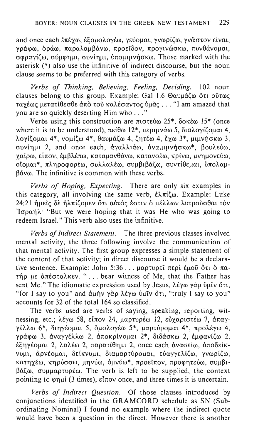and once each επέγω, εξομολογέω, γεύομαι, γνωρίζω, γνῶστον είναι, γράφω, δράω, παραλαμβάνω, προείδον, προγινώσκω, πυνθάνομαι,  $\cos \alpha$   $\sin \alpha$ ,  $\sin \alpha$   $\sin \alpha$ ,  $\sin \alpha$   $\sin \alpha$   $\cos \alpha$ . Those marked with the asterisk (\*) also use the infinitive of indirect discourse, but the noun clause seems to be preferred with this category of verbs.

*Verbs of Thinking, Believing, Feeling. Deciding.* 102 noun clauses belong to this group. Example: Gal 1:6  $\Theta$ avu $\acute{\alpha}$ ζω ὅτι οὕτως 1:UXEffi<; )lE1:u1:i8£cr8£ uno wi) KUAEcruV1:0<; U)li'i<; ... **"I** am amazed that you are so quickly deserting Him who ... "

Verbs using this construction are  $\pi$ 1000000 25\*,  $\delta$ 0KEW 15\* (once where it is to be understood),  $\pi \varepsilon \theta \omega$  12\*,  $\mu \varepsilon \omega \omega \omega$  5,  $\delta \omega \lambda \omega \nu \varepsilon \omega \omega$  4, λογίζουαι 4\*, νομίζω 4\*, θαυμάζω 4, ζητέω 4, έγω 3\*, μιμνήσκω 3, συνίημι 2, and once each, αναλλιάω, αναμιμνήσκω\*, βουλεύω, γαίρω, είπον, έμβλέπω, καταμανθάνω, κατανοέω, κρίνω, μνημονεύω, oΐομαι<sup>\*</sup>, πληροφορέω, συλλαλέω, συμβιβάζω, συντίθεμαι, υπολαμ- $6$ *d*y $\omega$ . The infinitive is common with these verbs.

*Verbs of Hoping, Expecting.* There are only six examples in this category, all involving the same verb,  $\epsilon \lambda \pi i \zeta \omega$ . Example: Luke 24:21 ήμεις δε ήλπίζομεν ότι αυτός έστιν ο μέλλων λυτρούσθαι τον ' $log \alpha n\lambda$ ' "But we were hoping that it was He who was going to redeem Israel." This verb also uses the infinitive.

*Verbs of Indirect Statement.* The three previous classes involved mental activity; the three following involve the communication of that mental activity. The first group expresses a simple statement of the content of that activity; in direct discourse it would be a declarative sentence. Example: John 5:36 ... μαρτυρεί περί εμοῦ ὅτι δ πατήρ με απέσταλκεν. " ... bear witness of Me, that the Father has sent Me." The idiomatic expression used by Jesus,  $\lambda \epsilon \gamma \omega \gamma \alpha \rho$  ύμιν ότι, "for I say to you" and άμην γάρ λέγω υμίν ότι, "truly I say to you" accounts for 32 of the total 164 so classified.

The verbs used are verbs of saying, speaking, reporting, witnessing, etc.; λέγω 58, είπον 24, μαρτυρέω 12, εύγαριστέω 7, άπαγ- $\gamma$ έλλω 6\*, διηγέομαι 5, δμολογέω 5\*, μαρτύρομαι 4\*, προλέγω 4, .<br>γράφω 3, αναγγέλλω 2, αποκρίνομαι 2\*, διδάσκω 2, εμφανίζω 2, εξηγέομαι 2, λαλέω 2, παρατίθημι 2, once each ανασείω, αποδείκvυμι, άρνέομαι, δείκνυμι, διαμαρτύρομαι, εύαγγελίζω, γνωρίζω, Kατηγέω, κηρύσσω, μηνύω, ομνύω\*, προείπον, προφητεύω, συμβι- $\beta \alpha \zeta \omega$ , συμμαρτυρέω. The verb is left to be supplied, the context pointing to  $\varphi$ nui (3 times),  $\varepsilon \bar{u}$  and three times it is uncertain.

*Verbs of Indirect Question.* Of those clauses introduced by conjunctions identified in the GRAMCORD schedule as SN (Subordinating Nominal) I found no example where the indirect quote would have been a question in the direct. However there is another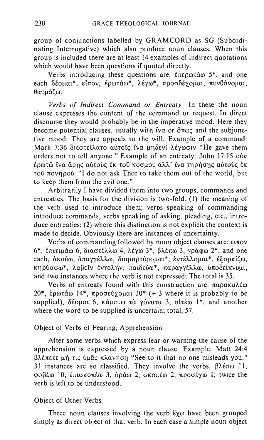group of conjunctions labelled by GRAMCORD as SG (Subordinating Interrogative) which also produce noun clauses. When this group is included there are at least 14 examples of indirect quotations which would have been questions if quoted directly.

Verbs introducing these questions are:  $\epsilon \pi \epsilon \rho \omega \tau \alpha \omega$  5<sup>\*</sup>, and one each δέομαι\*, είπον, έρωτάω\*, λέγω\*, προσδέχομαι, πυνθάνομαι, θαυμάζω.

*Verbs of Indirect Command or Entreaty* In these the noun clause expresses the content of the command or request. In direct discourse they would probably be in the imperative mood. Here they become potential clauses, usually with tva or  $\ddot{o}$  roac and the subjunctive mood. They are appeals to the will. Example of a command: Mark 7:36 διεστείλατο αύτοῖς ῖνα μηδενὶ λέγωσιν "He gave them orders not to tell anyone." Example of an entreaty: John 17:15  $\omega$ K ερωτῶ ἵνα ἄρης αὐτοὺς ἐκ τοῦ κόσμου ἀλλ' ἵνα τηρήσης αὐτοὺς ἐκ τοῦ πονηροῦ. "I do not ask Thee to take them out of the world, but to keep them from the evil one."

Arbitrarily I have divided them into two groups, commands and entreaties. The basis for the division is two-fold: (I) the meaning of the verb used to introduce them; verbs speaking of commanding introduce commands, verbs speaking of asking, pleading, etc., introduce entreaties; (2) where this distinction is not explicit the context is made to decide. Obviously there are instances of uncertainty.

Verbs of commanding followed by noun object clauses are:  $\epsilon \bar{u}$  nov  $6*$ , επιτιμάω 6, διαστέλλω 4, λέγω  $3*$ , βλέπω 3, γράφω 2\*, and one each, άκούω, άπαγγέλλω, διαμαρτύρομαι\*, εντέλλομαι\*, εξορκίζω, KΠρύσσω\*, λαβείν έντολήν, παιδεύω\*, παραγγέλλω, υποδείκνυμι, and two instances where the verb is not expressed; The total is 35.

Verbs of entreaty found with this construction are:  $\pi \alpha \rho \alpha \kappa \alpha \lambda \epsilon \omega$  $20^*$ , έρωτάω 14\*, προσεύχομαι  $10^*$  (+ 3 where it is probably to be supplied), δέομαι 6, κάμπτω τὰ γόνατα 3, αἰτέω 1\*, and another where the word to be supplied is uncertain; total, 57.

## Object of Verbs of Fearing, Apprehension

After some verbs which express fear or warning the cause of the apprehension is expressed by a noun clause. Example: Matt 24:4 βλέπετε μή τις υμάς πλανήση "See to it that no one misleads you." 31 instances are so classified. They involve the verbs,  $\beta \lambda \epsilon \pi \omega$  **II**, φοβέω 10, επισκοπέω 3, όράω 2, σκοπέω 2, προσέχω 1; twice the verb is left to be understood.

# Object of Other Verbs

Three noun clauses involving the verb  $\zeta_{\chi}$  have been grouped simply as direct object of that verb. In each case a simple noun object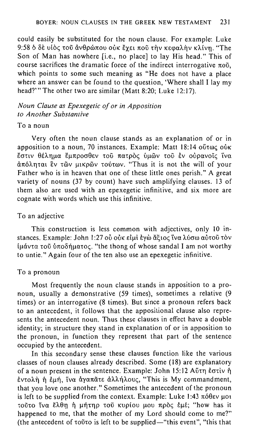could easily be substituted for the noun clause. For example: Luke 9:58 δ δε υίος τοῦ ἀνθρώπου οὐκ ἔχει ποῦ τὴν κεφαλὴν κλίνη. "The Son of Man has nowhere [i.e., no place] to lay His head." This of course sacrifices the dramatic force of the indirect interrogative  $\pi \omega$ . which points to some such meaning as "He does not have a place where an answer can be found to the question, 'Where shall I lay my head?''' The other two are similar (Matt 8:20; Luke 12:17).

# *Noun Clause as Epexegetic of or in Apposition to Another Substantive*

## To a noun

Very often the noun clause stands as an explanation of or in apposition to a noun, 70 instances. Example: Matt 18:14  $o$  6  $\pi\omega$   $\zeta$   $o$   $\kappa$ .<br>Εστιν θέλημα ἔμπροσθεν τοῦ πατρὸς ὑμῶν τοῦ ἐν οὐρανοῖς ἴνα απόληται εν των μικρων τούτων. "Thus it is not the will of your Father who is in heaven that one of these little ones perish." A great variety of nouns (37 by count) have such amplifying clauses. 13 of them also are used with an epexegetic infinitive, and six more are cognate with words which use this infinitive.

## To an adjective

This construction is less common with adjectives, only 10 instances. Example: John 1:27 οὐ οὐκ εἰμὶ ἐγὼ ἄξιος ἵνα λύσω αὐτοῦ τὸν iμάντα τοῦ ὑποδήματος. "the thong of whose sandal I am not worthy to untie." Again four of the ten also use an epexegetic infinitive.

#### To a pronoun

Most frequently the noun clause stands in apposition to a pronoun, usually a demonstrative (59 times), sometimes a relative (9 times) or an interrogative (8 times). But since a pronoun refers back to an antecedent, it follows that the appositional clause also represents the antecedent noun. Thus these clauses in effect have a double identity; in structure they stand in explanation of or in apposition to the pronoun, in function they represent that part of the sentence occupied by the antecedent.

In this secondary sense these clauses function like the various classes of noun clauses already described. Some (18) are explanatory of a noun present in the sentence. Example: John 15:12 AUTI EGTIV  $\eta$ εντολή ή εμή, *ΐνα αγαπ*άτε αλλήλους, "This is My commandment, that you love one another." Sometimes the antecedent of the pronoun is left to be supplied from the context. Example: Luke 1:43  $\pi\acute{o}$ θεν μοι τούτο Ίνα ἔλθη ή μήτηρ τοῦ κυρίου μου πρὸς ἐμέ; "how has it happened to me, that the mother of my Lord should come to me?" (the antecedent of  $\tau$ ouro is left to be supplied-"this event", "this that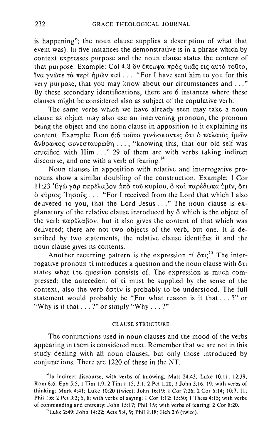is happening"; the noun clause supplies a description of what that event was). In five instances the demonstrative is in a phrase which by context expresses purpose and the noun clause states the content of that purpose. Example: Col 4:8 δν έπεμψα πρὸς ὑμᾶς εἰς αὐτὸ τοῦτο. time για γνώτε τα περί ήμῶν καί ... "For I have sent him to you for this very purpose, that you may know about our circumstances and ... " By these secondary identifications, there are 6 instances where these clauses might be considered also as subject of the copulative verb.

The same verbs which we have already seen may take a noun clause as. object may also use an intervening pronoun, the pronoun being the object and the noun clause in apposition to it explaining its content. Example: Rom 6:6 rouro ylvώσκοντες ότι ο παλαιος ήμων  $\ddot{\alpha}$ νθρωπος συνεσταυρώθη..., "knowing this, that our old self was crucified with Him ... " 29 of them are with verbs taking indirect discourse, and one with a verb of fearing.<sup>14</sup>

Noun clauses in apposition with relative and interrogative pronouns show a similar doubling of the construction. Example: I Cor 11:23 Έγω γαρ παρέλαβον από του κυρίου, ο και παρέδωκα ύμιν, ότι  $\delta$  Kύριος 'Inσοῦς ... "For I received from the Lord that which I also delivered to you, that the Lord Jesus ... " The noun clause is explanatory of the relative clause introduced by  $\ddot{o}$  which is the object of the verb  $\pi\alpha$  $\sigma\epsilon\lambda\alpha\beta$ ov, but it also gives the content of that which was delivered; there are not two objects of the verb, but one. It is described by two statements, the relative clause identifies it and the noun clause gives its contents.

Another recurring pattern is the expression  $\tau$   $\delta \tau$ ;<sup>15</sup> The interrogative pronoun  $\tau$  introduces a question and the noun clause with  $\delta\tau$ states what the question consists of. The expression is much compressed; the antecedent of  $\tau$  must be supplied by the sense of the context, also the verb  $\epsilon$  otiv is probably to be understood. The full statement would probably be "For what reason is it that ... ?" or "Why is it that ... ?" or simply "Why ... ?"

#### CLAUSE STRUCTURE

The conjunctions used in noun clauses and the mood of the verbs appearing in them is considered next. Remember that we are not in this study dealing with all noun clauses, but only those introduced by conjunctions. There are 1220 of these in the NT.

'41n indirect discourse. with verbs of knowing: Matt 24:43; Luke 10:11; 12:39; Rom 6:6; Eph 5:5; I Tim 1:9; 2 Tim 1:15; 3:1; 2 Pet 1:20; I John 3:16,19; with verbs of thinking: Mark 4:41; Luke 10:20 (twice); John 16:19; I Cor 7:26; 2 Cor 5:14; 10:7. II; Phil 1:6; 2 Pet 3:3; 5, 8; with verbs of saying: I Cor 1:12; 15:50; I Thess 4:15; with verbs of commanding and entreaty: John 15:17; Phil 1:9; with verbs of fearing: 2 Cor 8:20.

"Luke 2:49; John 14:22; Acts 5:4, 9; Phil 1:18; Heb 2:6 (twice).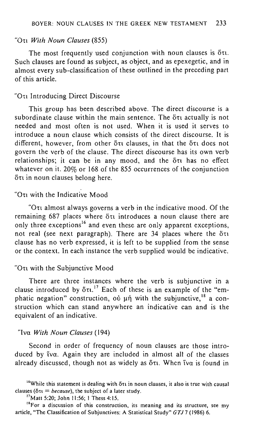#### "On *With Noun Clauses (855)*

The most frequently used conjunction with noun clauses is ort. Such clauses are found as subject, as object, and as epexegetic, and in almost every sub-classification of these outlined in the preceding part of this article.

#### "On Introducing Direct Discourse

This group has been described above. The direct discourse is a subordinate clause within the main sentence. The  $\delta\tau$  actually is not needed and most often is not used. When it is used it serves to introduce a noun clause which consists of the direct discourse. It is different, however, from other ort clauses, in that the ort does not govern the verb of the clause. The direct discourse has its own verb  $relations$  relationships; it can be in any mood, and the  $\delta \tau$  has no effect whatever on it. 20% or 168 of the 855 occurrences of the conjunction  $δτι$  in noun clauses belong here.

# "On with the Indicative Mood

"Ort almost always governs a verb in the indicative mood. Of the remaining 687 places where  $\delta \tau$  introduces a noun clause there are only three exceptions<sup>16</sup> and even these are only apparent exceptions, not real (see next paragraph). There are  $34$  places where the  $6\tau_1$ clause has no verb expressed, it is left to be supplied from the sense or the context. In each instance the verb supplied would be indicative.

## "Oτι with the Subiunctive Mood

There are three instances where the verb is subjunctive in a clause introduced by  $\delta \tau$ .<sup>17</sup> Each of these is an example of the "emphatic negation" construction,  $\omega$  un with the subjunctive,<sup>18</sup> a construction which can stand anywhere an indicative can and is the equivalent of an indicative.

## "Iva *With Noun Clauses (194)*

Second in order of frequency of noun clauses are those introduced by tva. Again they are included in almost all of the classes already discussed, though not as widely as  $\delta\tau$ . When  $\tilde{\tau}$  is found in

<sup>&</sup>lt;sup>16</sup>While this statement is dealing with  $\delta \tau_1$  in noun clauses, it also is true with causal clauses ( $\delta \tau$ **i** = *because*), the subject of a later study.

<sup>&</sup>lt;sup>17</sup>Matt 5:20; John 11:56; 1 Thess 4:15.

**<sup>18</sup>For a discussion of this construction, its meaning and its structure, see my**  article, "The Classification of Subjunctives: A Statistical Study" *GTJ7* (1986) 6.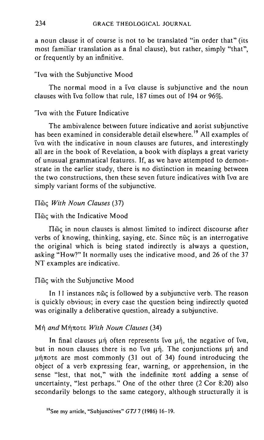a noun clause it of course is not to be translated "in order that" (its most familiar translation as a final clause), but rather, simply "that", or frequently by an infinitive.

# "Iva with the Subjunctive Mood

The normal mood in a  $\tilde{i}$  va clause is subjunctive and the noun clauses with iva follow that rule, 187 times out of 194 or 96%.

# "Iva with the Future Indicative

The ambivalence between future indicative and aorist subjunctive has been examined in considerable detail elsewhere.<sup>19</sup> All examples of  $\alpha$  with the indicative in noun clauses are futures, and interestingly all are in the book of Revelation, a book with displays a great variety of unusual grammatical features. If, as we have attempted to demonstrate in the earlier study, there is no distinction in meaning between the two constructions, then these seven future indicatives with  $\tilde{v}$  are simply variant forms of the subjunctive.

# *Tinc With Noun Clauses (37)*

# $\Pi$ <sub>0</sub> with the Indicative Mood

 $\Pi$  $\tilde{\omega}$ c in noun clauses is almost limited to indirect discourse after verbs of knowing, thinking, saying, etc. Since  $\pi\tilde{\omega}$  is an interrogative the original which is being stated indirectly is always a question, asking "How?" It normally uses the indicative mood, and 26 of the 37 NT examples are indicative.

# $\Pi$ <sub> $\tilde{\omega}$ </sub>c with the Subjunctive Mood

In  $11$  instances  $\pi\tilde{\omega}\zeta$  is followed by a subjunctive verb. The reason is quickly obvious; in every case the question being indirectly quoted was originally a deliberative question, already a subjunctive.

# **Mή and Mήποτε With Noun Clauses (34)**

In final clauses  $\mu$ n often represents tva  $\mu$ n, the negative of tva, but in noun clauses there is no tva  $\mu$ n. The conjunctions  $\mu$ n and  $\mu$ ήποτε are most commonly (31 out of 34) found introducing the object of a verb expressing fear, warning, or apprehension, in the sense "lest, that not," with the indefinite  $\pi$ ort adding a sense of uncertainty, "lest perhaps." One of the other three (2 Cor 8:20) also secondarily belongs to the same category, although structurally it is

<sup>&</sup>quot;See my article, "Subjunctives" *GTJ7* (1986) 16-19.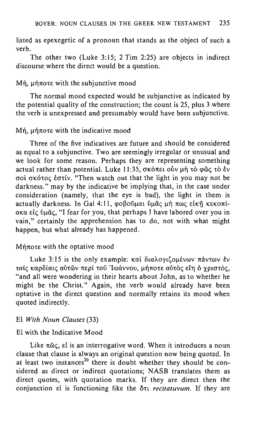listed as epexegetic of a pronoun that stands as the object of such a verb.

The other two (Luke 3:15; 2 Tim 2:25) are objects in indirect discourse where the direct would be a question.

# Mή, μήποτε with the subjunctive mood

The normal mood expected would be subjunctive as indicated by the potential quality of the construction; the count is 25, plus 3 where the verb is unexpressed and presumably would have been subjunctive.

# $Mn$ ,  $\mu n\pi$ ote with the indicative mood

Three of the five indicatives are future and should be considered as equal to a subjunctive. Two are seemingly irregular or unusual and we look for some reason. Perhaps they are representing something actual rather than potential. Luke 11:35,  $\sigma$ κόπει οὖν μὴ τὸ φῶς τὸ ἐν aOI aKo,o~ *ta,iv.* "Then watch out that the light in you may not be darkness." may by the indicative be implying that, in the case under consideration (namely, that the eye is bad), the light in them is actually darkness. In Gal 4:11, φοβοῦμαι ὑμᾶς μή πως εἰκῆ κεκοπί- $\alpha$ Ka είς ύμας, "I fear for you, that perhaps I have labored over you in vain," certainly the apprehension has to do, not with what might happen, but what already has happened.

## $M$  $\eta$  $\pi$  $\sigma$  $\epsilon$  with the optative mood

Luke 3:15 is the only example: και διαλογιζομένων πάντων έν ταΐς καρδίαις αύτων περί του 'Ιωάννου, μήποτε αύτος είη ο γριστός, "and all were wondering in their hearts about John, as to whether he might be the Christ." Again, the verb would already have been optative in the direct question and normally retains its mood when quoted indirectly.

## Ei *With Noun Clauses (33)*

# Ei with the Indicative Mood

Like  $\pi\tilde{\omega}\zeta$ ,  $\epsilon\tilde{\iota}$  is an interrogative word. When it introduces a noun clause that clause is always an original question now being quoted. In at least two instances<sup>20</sup> there is doubt whether they should be considered as direct or indirect quotations; NASB translates them as direct quotes, with quotation marks. If they are direct then the conjunction  $\varepsilon$ l is functioning like the oti *recitatuvum*. If they are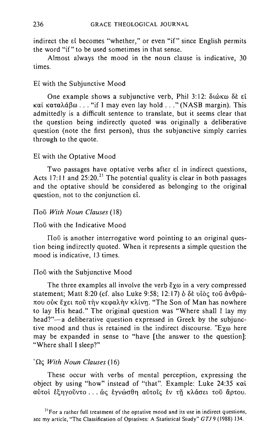indirect the si becomes "whether," or even "if" since English permits the word "if" to be used sometimes in that sense.

Almost always the mood in the noun clause is indicative, 30 times.

# Ei with the Subjunctive Mood

One example shows a subjunctive verb, Phil 3:12: διώκω δε εί και καταλάβω... "if I may even lay hold ..." (NASB margin). This admittedly is a difficult sentence to translate, but it seems clear that the question being indirectly quoted was originally a deliberative question (note the first person), thus the subjunctive simply carries through to the quote.

## Ei with the Optative Mood

Two passages have optative verbs after et in indirect questions, Acts 17:11 and  $25:20$ <sup>21</sup> The potential quality is clear in both passages and the optative should be considered as belonging to the original question, not to the conjunction  $\epsilon i$ .

## [lou *With Noun Clauses (18)*

## Hou with the Indicative Mood

 $\Pi$ <sup>o</sup> is another interrogative word pointing to an original question being indirectly quoted. When it represents a simple question the mood is indicative, 13 times.

## $\Pi$ ou with the Subjunctive Mood

The three examples all involve the verb  $\zeta_{\chi\omega}$  in a very compressed statement; Matt 8:20 (cf. also Luke 9:58; 12:17)  $\delta$   $\delta \dot{\epsilon}$  vide  $\tau$ ou av $\theta$ pώπου ούκ έχει ποῦ τὴν κεφαλὴν κλίνη. "The Son of Man has nowhere to lay His head." The original question was "Where shall I lay my head?"-a deliberative question expressed in Greek by the subjunctive mood and thus is retained in the indirect discourse. "Exw here may be expanded in sense to "have [the answer to the question]: "Where shall I sleep?"

#### <sup>'</sup>Ως With Noun Clauses (16)

These occur with verbs of mental perception, expressing the object by using "how" instead of "that". Example: Luke 24:35 Kai aύτοι εξηγοῦντο... ως εγνώσθη αὐτοῖς εν τῆ κλάσει τοῦ ἄρτου.

**<sup>21</sup>For a rather full treatment of the optative mood and its use in indirect questions,**  see my article, "The Classification of Optatives: A Statistical Study" *GTJ9* (1988) 134.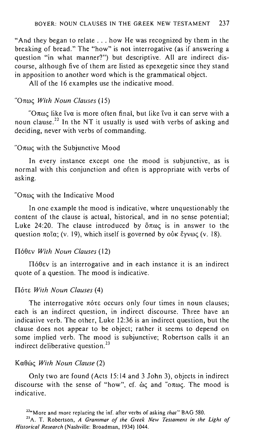"And they began to relate ... how He was recognized by them in the breaking of bread." The "how" is not interrogative (as if answering a question "in what manner?") but descriptive. All are indirect discourse, although five of them are listed as epexegetic since they stand in apposition to another word which is the grammatical object.

All of the 16 examples use the indicative mood.

# ·O!l(Jl(; *With Noun Clauses (15)*

" $O$  $\pi\omega\varsigma$  like iva is more often final, but like iva it can serve with a noun clause. <sup>22</sup>**In** the NT it usually is used with verbs of asking and deciding, never with verbs of commanding.

# " $O \pi \omega c$  with the Subjunctive Mood

**In** every instance except one the mood is subjunctive, as is normal with this conjunction and often is appropriate with verbs of asking.

# " $O \pi \omega \varsigma$  with the Indicative Mood

**In** one example the mood is indicative, where unquestionably the content of the clause is actual, historical, and in no sense potential; Luke 24:20. The clause introduced by  $\delta\pi\omega\zeta$  is in answer to the question  $\pi$ oia; (v. 19), which itself is governed by ouk  $\epsilon$ yv $\omega \zeta$  (v. 18).

## n6Sev *With Noun Clauses (12)*

 $\Pi$ όθεν is an interrogative and in each instance it is an indirect quote of a question. The mood is indicative.

# $\Pi$ ότε *With Noun Clauses* (4)

The interrogative πότε occurs only four times in noun clauses; each is an indirect question, in indirect discourse. Three have an indicative verb. The other, Luke 12:36 is an indirect question, but the clause does not appear to be object; rather it seems to depend on some implied verb. The mood is subjunctive; Robertson calls it an indirect deliberative question.<sup>23</sup>

## Kαθώς *With Noun Clause* (2)

Only two are found (Acts 15:14 and 3 John 3), objects in indirect discourse with the sense of "how", cf.  $\dot{\omega}$  and " $\sigma\pi\omega\zeta$ . The mood is indicative.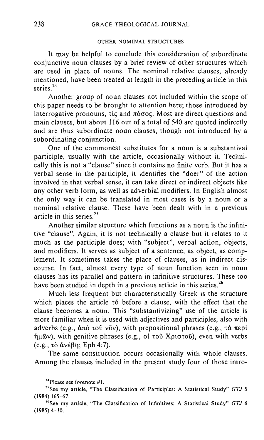#### OTHER NOMINAL STRUCTURES

It may be helpful to conclude this consideration of subordinate conjunctive noun clauses by a brief review of other structures which are used in place of nouns. The nominal relative clauses, already mentioned, have been treated at length in the preceding article in this series.<sup>24</sup>

Another group of noun clauses not included within the scope of this paper needs to be brought to attention here; those introduced by interrogative pronouns,  $\tau$  and  $\pi$ ógoc. Most are direct questions and main clauses, but about 116 out of a total of 540 are quoted indirectly and are thus subordinate noun clauses, though not introduced by a subordinating conjunction.

One of the commonest substitutes for a noun is a substantival participle, usually with the article, occasionally without it. Technically this is not a "clause" since it contains no finite verb. But it has a verbal sense in the participle, it identifies the "doer" of the action involved in that verbal sense, it can take direct or indirect objects like any other verb form, as well as adverbial modifiers. In English almost the only way it can be translated in most cases is by a noun or a nominal relative clause. These have been dealt with in a previous article in this series<sup>25</sup>

Another similar structure which functions as a noun is the infinitive "clause". Again, it is not technically a clause but it relates to it much as the participle does; with "subject", verbal action, objects, and modifiers. It serves as subject of a sentence, as object, as complement. It sometimes takes the place of clauses, as in indirect discourse. In fact, almost every type of noun function seen in noun clauses has its parallel and pattern in infinitive structures. These too have been studied in depth in a previous article in this series.<sup>26</sup>

Much less frequent but characteristically Greek is the structure which places the article  $\tau$ ó before a clause, with the effect that the clause becomes a noun. This "substantivizing" use of the article is more familiar when it is used with adjectives and participles, also with adverbs (e.g.,  $\alpha \pi \delta \tau \delta \tilde{\nu}$ ), with prepositional phrases (e.g.,  $\tau \alpha \pi \epsilon \delta \tilde{\nu}$ ήμῶν), with genitive phrases (e.g., ot τοῦ Χριστοῦ), even with verbs  $(e.g., t\delta \, dv \epsilon \beta n; Eph 4.7).$ 

The same construction occurs occasionally with whole clauses. Among the clauses included in the present study four of those intro-

**<sup>24</sup>Please see footnote #1.** 

<sup>&</sup>lt;sup>25</sup> See my article, "The Classification of Participles: A Statistical Study" *GTJ* 5 (1984) 165-67.

<sup>&</sup>lt;sup>26</sup>See my article, "The Classification of Infinitives: A Statistical Study" *GTJ* 6 (1985) 4-10.